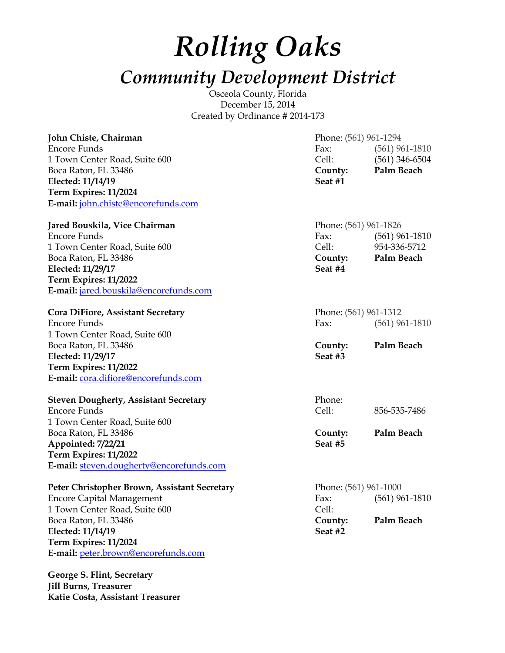# *Rolling Oaks Community Development District*

Osceola County, Florida December 15, 2014 Created by Ordinance # 2014-173

| John Chiste, Chairman                        | Phone: (561) 961-1294 |                    |
|----------------------------------------------|-----------------------|--------------------|
| Encore Funds                                 | Fax:                  | $(561)$ 961-1810   |
| 1 Town Center Road, Suite 600                | Cell:                 | $(561)$ 346-6504   |
| Boca Raton, FL 33486                         | County:               | Palm Beach         |
| Elected: 11/14/19                            | Seat #1               |                    |
| Term Expires: 11/2024                        |                       |                    |
| E-mail: john.chiste@encorefunds.com          |                       |                    |
| Jared Bouskila, Vice Chairman                | Phone: (561) 961-1826 |                    |
| Encore Funds                                 | Fax:                  | $(561)$ 961-1810   |
| 1 Town Center Road, Suite 600                |                       | Cell: 954-336-5712 |
| Boca Raton, FL 33486                         | County:               | Palm Beach         |
| Elected: 11/29/17                            | Seat #4               |                    |
| Term Expires: 11/2022                        |                       |                    |
| E-mail: jared.bouskila@encorefunds.com       |                       |                    |
| Cora DiFiore, Assistant Secretary            | Phone: (561) 961-1312 |                    |
| Encore Funds                                 | Fax:                  | $(561)$ 961-1810   |
| 1 Town Center Road, Suite 600                |                       |                    |
| Boca Raton, FL 33486                         | County:               | Palm Beach         |
| Elected: 11/29/17                            | Seat #3               |                    |
| Term Expires: 11/2022                        |                       |                    |
| E-mail: cora.difiore@encorefunds.com         |                       |                    |
| <b>Steven Dougherty, Assistant Secretary</b> | Phone:                |                    |
| Encore Funds                                 | Cell:                 | 856-535-7486       |
| 1 Town Center Road, Suite 600                |                       |                    |
| Boca Raton, FL 33486                         | County:               | Palm Beach         |
| Appointed: 7/22/21                           | Seat #5               |                    |
| Term Expires: 11/2022                        |                       |                    |
| E-mail: steven.dougherty@encorefunds.com     |                       |                    |
| Peter Christopher Brown, Assistant Secretary | Phone: (561) 961-1000 |                    |
| <b>Encore Capital Management</b>             | Fax:                  | $(561)$ 961-1810   |
| 1 Town Center Road, Suite 600                | Cell:                 |                    |

Boca Raton, FL 33486 **County: Palm Beach Elected: 11/14/19 Seat #2 Term Expires: 11/2024 E-mail:** peter.brown@encorefunds.com

**George S. Flint, Secretary Jill Burns, Treasurer Katie Costa, Assistant Treasurer**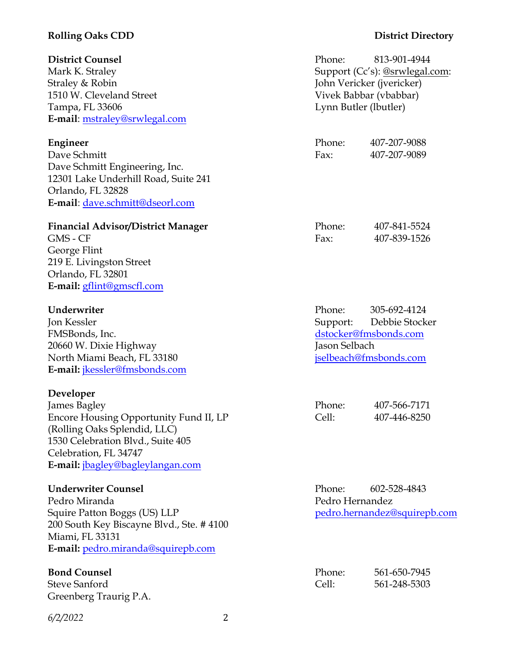### **Rolling Oaks CDD District Directory**

**Engineer** Phone: 407-207-9088

GMS - CF Fax: 407-839-1526

**Underwriter** Phone: 305-692-4124 Jon Kessler Support: Debbie Stocker

| Phone: | 407-566-7171 |
|--------|--------------|
| Cell:  | 407-446-8250 |

**Underwriter Counsel Phone:** 602-528-4843

**Bond Counsel** Phone: 561-650-7945 Steve Sanford Cell: 561-248-5303

**District Counsel** Phone: 813-901-4944 Mark K. Straley Support (Cc's): @srwlegal.com: Straley & Robin John Vericker (jvericker) 1510 W. Cleveland Street Vivek Babbar (vbabbar) Tampa, FL 33606 Lynn Butler (lbutler) **E-mail**: mstraley@srwlegal.com

Dave Schmitt Fax: 407-207-9089 Dave Schmitt Engineering, Inc. 12301 Lake Underhill Road, Suite 241 Orlando, FL 32828 **E-mail**: dave.schmitt@dseorl.com

### Financial Advisor/District Manager Phone: 407-841-5524

George Flint 219 E. Livingston Street Orlando, FL 32801 **E-mail:** gflint@gmscfl.com

FMSBonds, Inc. The extension of the extension of the dstocker@fmsbonds.com 20660 W. Dixie Highway Jason Selbach North Miami Beach, FL 33180 jselbeach@fmsbonds.com **E-mail:** jkessler@fmsbonds.com

### **Developer**

James Bagley Encore Housing Opportunity Fund II, LP (Rolling Oaks Splendid, LLC) 1530 Celebration Blvd., Suite 405 Celebration, FL 34747 **E-mail:** jbagley@bagleylangan.com

Pedro Miranda Pedro Hernandez Squire Patton Boggs (US) LLP pedro.hernandez@squirepb.com 200 South Key Biscayne Blvd., Ste. # 4100 Miami, FL 33131 **E-mail:** pedro.miranda@squirepb.com

Greenberg Traurig P.A.

*6/2/2022* 2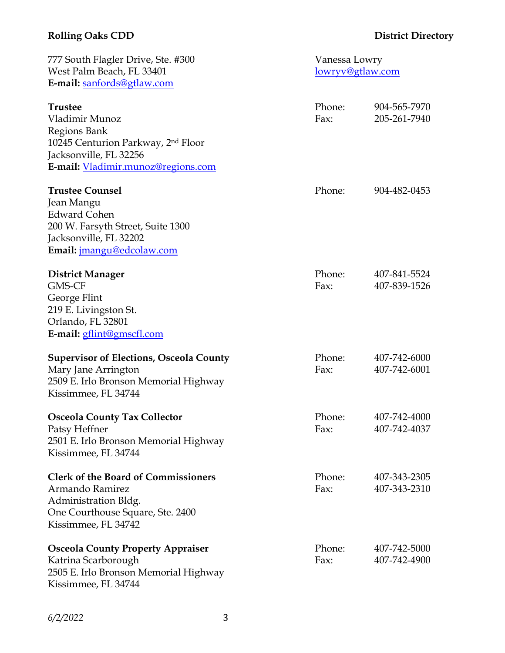# **Rolling Oaks CDD District Directory**

| 777 South Flagler Drive, Ste. #300<br>West Palm Beach, FL 33401<br>E-mail: sanfords@gtlaw.com                                                                      | Vanessa Lowry<br>lowryv@gtlaw.com |                              |
|--------------------------------------------------------------------------------------------------------------------------------------------------------------------|-----------------------------------|------------------------------|
| <b>Trustee</b><br>Vladimir Munoz<br>Regions Bank<br>10245 Centurion Parkway, 2 <sup>nd</sup> Floor<br>Jacksonville, FL 32256<br>E-mail: Vladimir.munoz@regions.com | Phone:<br>Fax:                    | 904-565-7970<br>205-261-7940 |
| <b>Trustee Counsel</b><br>Jean Mangu<br><b>Edward Cohen</b><br>200 W. Farsyth Street, Suite 1300<br>Jacksonville, FL 32202<br>Email: jmangu@edcolaw.com            | Phone:                            | 904-482-0453                 |
| <b>District Manager</b><br><b>GMS-CF</b><br>George Flint<br>219 E. Livingston St.<br>Orlando, FL 32801<br>E-mail: gflint@gmscfl.com                                | Phone:<br>Fax:                    | 407-841-5524<br>407-839-1526 |
| <b>Supervisor of Elections, Osceola County</b><br>Mary Jane Arrington<br>2509 E. Irlo Bronson Memorial Highway<br>Kissimmee, FL 34744                              | Phone:<br>Fax:                    | 407-742-6000<br>407-742-6001 |
| <b>Osceola County Tax Collector</b><br>Patsy Heffner<br>2501 E. Irlo Bronson Memorial Highway<br>Kissimmee, FL 34744                                               | Phone:<br>Fax:                    | 407-742-4000<br>407-742-4037 |
| <b>Clerk of the Board of Commissioners</b><br>Armando Ramirez<br>Administration Bldg.<br>One Courthouse Square, Ste. 2400<br>Kissimmee, FL 34742                   | Phone:<br>Fax:                    | 407-343-2305<br>407-343-2310 |
| <b>Osceola County Property Appraiser</b><br>Katrina Scarborough<br>2505 E. Irlo Bronson Memorial Highway<br>Kissimmee, FL 34744                                    | Phone:<br>Fax:                    | 407-742-5000<br>407-742-4900 |